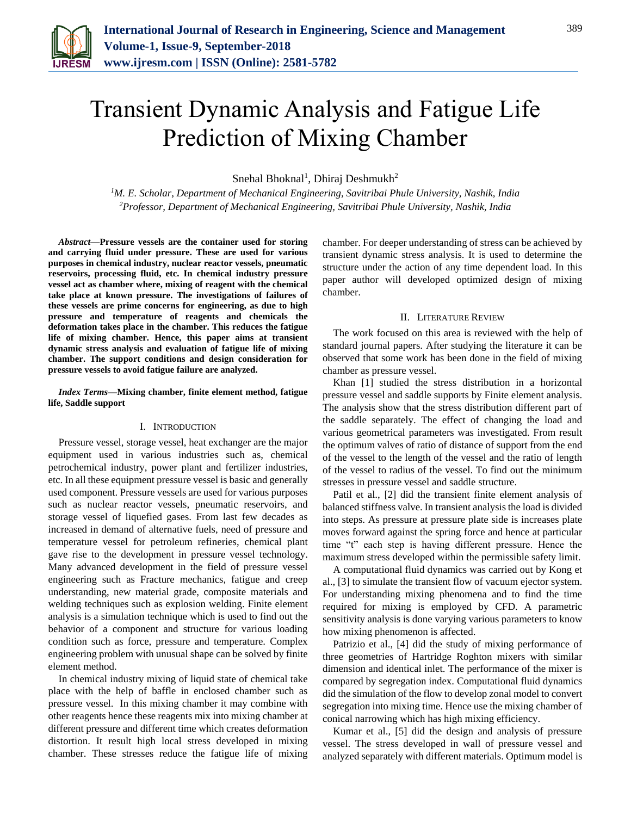

# Transient Dynamic Analysis and Fatigue Life Prediction of Mixing Chamber

Snehal Bhoknal<sup>1</sup>, Dhiraj Deshmukh<sup>2</sup>

*<sup>1</sup>M. E. Scholar, Department of Mechanical Engineering, Savitribai Phule University, Nashik, India 2Professor, Department of Mechanical Engineering, Savitribai Phule University, Nashik, India*

*Abstract***—Pressure vessels are the container used for storing and carrying fluid under pressure. These are used for various purposes in chemical industry, nuclear reactor vessels, pneumatic reservoirs, processing fluid, etc. In chemical industry pressure vessel act as chamber where, mixing of reagent with the chemical take place at known pressure. The investigations of failures of these vessels are prime concerns for engineering, as due to high pressure and temperature of reagents and chemicals the deformation takes place in the chamber. This reduces the fatigue life of mixing chamber. Hence, this paper aims at transient dynamic stress analysis and evaluation of fatigue life of mixing chamber. The support conditions and design consideration for pressure vessels to avoid fatigue failure are analyzed.**

#### *Index Terms***—Mixing chamber, finite element method, fatigue life, Saddle support**

#### I. INTRODUCTION

Pressure vessel, storage vessel, heat exchanger are the major equipment used in various industries such as, chemical petrochemical industry, power plant and fertilizer industries, etc. In all these equipment pressure vessel is basic and generally used component. Pressure vessels are used for various purposes such as nuclear reactor vessels, pneumatic reservoirs, and storage vessel of liquefied gases. From last few decades as increased in demand of alternative fuels, need of pressure and temperature vessel for petroleum refineries, chemical plant gave rise to the development in pressure vessel technology. Many advanced development in the field of pressure vessel engineering such as Fracture mechanics, fatigue and creep understanding, new material grade, composite materials and welding techniques such as explosion welding. Finite element analysis is a simulation technique which is used to find out the behavior of a component and structure for various loading condition such as force, pressure and temperature. Complex engineering problem with unusual shape can be solved by finite element method.

In chemical industry mixing of liquid state of chemical take place with the help of baffle in enclosed chamber such as pressure vessel. In this mixing chamber it may combine with other reagents hence these reagents mix into mixing chamber at different pressure and different time which creates deformation distortion. It result high local stress developed in mixing chamber. These stresses reduce the fatigue life of mixing chamber. For deeper understanding of stress can be achieved by transient dynamic stress analysis. It is used to determine the structure under the action of any time dependent load. In this paper author will developed optimized design of mixing chamber.

#### II. LITERATURE REVIEW

The work focused on this area is reviewed with the help of standard journal papers. After studying the literature it can be observed that some work has been done in the field of mixing chamber as pressure vessel.

Khan [1] studied the stress distribution in a horizontal pressure vessel and saddle supports by Finite element analysis. The analysis show that the stress distribution different part of the saddle separately. The effect of changing the load and various geometrical parameters was investigated. From result the optimum valves of ratio of distance of support from the end of the vessel to the length of the vessel and the ratio of length of the vessel to radius of the vessel. To find out the minimum stresses in pressure vessel and saddle structure.

Patil et al., [2] did the transient finite element analysis of balanced stiffness valve. In transient analysis the load is divided into steps. As pressure at pressure plate side is increases plate moves forward against the spring force and hence at particular time "t" each step is having different pressure. Hence the maximum stress developed within the permissible safety limit.

A computational fluid dynamics was carried out by Kong et al., [3] to simulate the transient flow of vacuum ejector system. For understanding mixing phenomena and to find the time required for mixing is employed by CFD. A parametric sensitivity analysis is done varying various parameters to know how mixing phenomenon is affected.

Patrizio et al., [4] did the study of mixing performance of three geometries of Hartridge Roghton mixers with similar dimension and identical inlet. The performance of the mixer is compared by segregation index. Computational fluid dynamics did the simulation of the flow to develop zonal model to convert segregation into mixing time. Hence use the mixing chamber of conical narrowing which has high mixing efficiency.

Kumar et al., [5] did the design and analysis of pressure vessel. The stress developed in wall of pressure vessel and analyzed separately with different materials. Optimum model is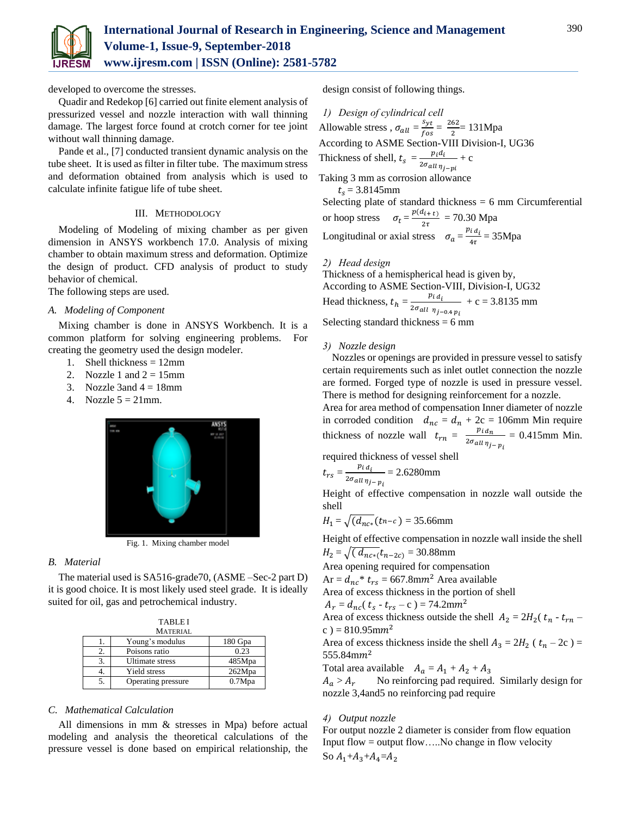

developed to overcome the stresses.

Quadir and Redekop [6] carried out finite element analysis of pressurized vessel and nozzle interaction with wall thinning damage. The largest force found at crotch corner for tee joint without wall thinning damage.

Pande et al., [7] conducted transient dynamic analysis on the tube sheet. It is used as filter in filter tube. The maximum stress and deformation obtained from analysis which is used to calculate infinite fatigue life of tube sheet.

#### III. METHODOLOGY

Modeling of Modeling of mixing chamber as per given dimension in ANSYS workbench 17.0. Analysis of mixing chamber to obtain maximum stress and deformation. Optimize the design of product. CFD analysis of product to study behavior of chemical.

The following steps are used.

#### *A. Modeling of Component*

Mixing chamber is done in ANSYS Workbench. It is a common platform for solving engineering problems. For creating the geometry used the design modeler.

- 1. Shell thickness = 12mm
- 2. Nozzle 1 and  $2 = 15$ mm
- 3. Nozzle 3and  $4 = 18$ mm
- 4. Nozzle  $5 = 21$ mm.



Fig. 1. Mixing chamber model

#### *B. Material*

The material used is SA516-grade70, (ASME –Sec-2 part D) it is good choice. It is most likely used steel grade. It is ideally suited for oil, gas and petrochemical industry.

|    | <b>TABLEI</b>      |         |
|----|--------------------|---------|
|    | MATERIAL           |         |
|    | Young's modulus    | 180 Gpa |
| 2. | Poisons ratio      | 0.23    |
| 3. | Ultimate stress    | 485Mpa  |
|    | Yield stress       | 262Mpa  |
| 5. | Operating pressure | 0.7Mpa  |

#### *C. Mathematical Calculation*

All dimensions in mm & stresses in Mpa) before actual modeling and analysis the theoretical calculations of the pressure vessel is done based on empirical relationship, the design consist of following things.

*1) Design of cylindrical cell* Allowable stress,  $\sigma_{all} = \frac{s_{yt}}{f_{eq}}$  $\frac{s_{yt}}{fos} = \frac{262}{2}$  $\frac{62}{2}$  = 131Mpa According to ASME Section-VIII Division-I, UG36 Thickness of shell,  $t_s = \frac{p_i d_i}{2\sigma_i}$  $\frac{p_i a_i}{2 \sigma_{all} \eta_{j-pi}} + C$ Taking 3 mm as corrosion allowance  $t_s$  = 3.8145mm Selecting plate of standard thickness  $= 6$  mm Circumferential or hoop stress  $\sigma_t = \frac{p(d_{i+t})}{2\tau}$  $\frac{z_{t+T}}{2\tau}$  = 70.30 Mpa Longitudinal or axial stress  $\sigma_a = \frac{p_{id_i}}{4\pi}$  $\frac{u_i}{4\tau}$  = 35Mpa

*2) Head design*

Thickness of a hemispherical head is given by, According to ASME Section-VIII, Division-I, UG32 Head thickness,  $t_h = \frac{p_{i,d_i}}{2\pi r}$  $\frac{P_{t} u_i}{2 \sigma_{all} \eta_{j-0.4 p_i}}$  + c = 3.8135 mm Selecting standard thickness  $= 6$  mm

#### *3) Nozzle design*

Nozzles or openings are provided in pressure vessel to satisfy certain requirements such as inlet outlet connection the nozzle are formed. Forged type of nozzle is used in pressure vessel. There is method for designing reinforcement for a nozzle.

Area for area method of compensation Inner diameter of nozzle in corroded condition  $d_{nc} = d_n + 2c = 106$ mm Min require thickness of nozzle wall  $t_{rn} = \frac{p_{i,d_n}}{2\sigma_r}$  $\frac{p_{t}}{2\sigma_{all}}$  = 0.415mm Min.

required thickness of vessel shell

$$
t_{rs} = \frac{p_{i\,d_i}}{2\sigma_{all\,\eta_{j-p_i}}} = 2.6280 \,\text{mm}
$$

Height of effective compensation in nozzle wall outside the shell

$$
H_1 = \sqrt{\overline{(d_{nc*}(t_{n-c})}} = 35.66 \text{mm}
$$

Height of effective compensation in nozzle wall inside the shell

 $H_2 = \sqrt{d \, a_{n} \epsilon_{\kappa}(t_{n-2c})} = 30.88 \text{mm}$ 

Area opening required for compensation

Ar =  $d_{nc}$ <sup>\*</sup>  $t_{rs}$  = 667.8mm<sup>2</sup> Area available

Area of excess thickness in the portion of shell  $A_r = d_{nc} (t_s - t_{rs} - c) = 74.2 \text{mm}^2$ 

Area of excess thickness outside the shell  $A_2 = 2H_2(t_n - t_{rn} - t_{rn})$ c  $= 810.95$ m $m<sup>2</sup>$ 

Area of excess thickness inside the shell  $A_3 = 2H_2$  ( $t_n - 2c$ ) =  $555.84$ m $m<sup>2</sup>$ 

Total area available  $A_a = A_1 + A_2 + A_3$ 

 $A_q > A_r$  No reinforcing pad required. Similarly design for nozzle 3,4and5 no reinforcing pad require

#### *4) Output nozzle*

For output nozzle 2 diameter is consider from flow equation Input flow  $=$  output flow.....No change in flow velocity So  $A_1+A_3+A_4=A_2$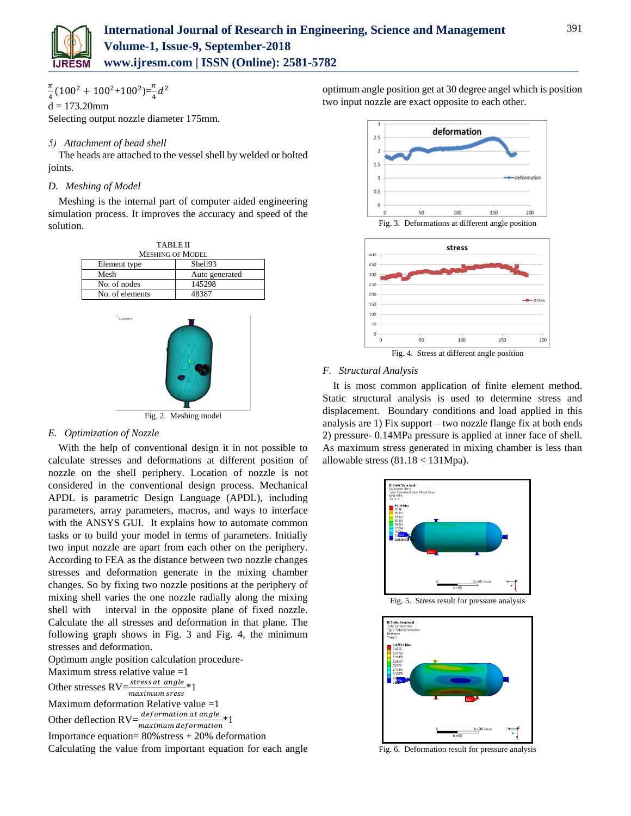

 $\pi$  $\frac{\pi}{4}(100^2+100^2+100^2) = \frac{\pi}{4}d^2$ 

 $d = 173.20$ mm Selecting output nozzle diameter 175mm.

### *5) Attachment of head shell*

The heads are attached to the vessel shell by welded or bolted joints.

## *D. Meshing of Model*

Meshing is the internal part of computer aided engineering simulation process. It improves the accuracy and speed of the solution.

| <b>TABLE II</b>         |                |  |  |
|-------------------------|----------------|--|--|
| <b>MESHING OF MODEL</b> |                |  |  |
| Element type            | Shell93        |  |  |
| Mesh                    | Auto generated |  |  |
| No. of nodes            | 145298         |  |  |
| No. of elements         | 48387          |  |  |



Fig. 2. Meshing model

# *E. Optimization of Nozzle*

With the help of conventional design it in not possible to calculate stresses and deformations at different position of nozzle on the shell periphery. Location of nozzle is not considered in the conventional design process. Mechanical APDL is parametric Design Language (APDL), including parameters, array parameters, macros, and ways to interface with the ANSYS GUI. It explains how to automate common tasks or to build your model in terms of parameters. Initially two input nozzle are apart from each other on the periphery. According to FEA as the distance between two nozzle changes stresses and deformation generate in the mixing chamber changes. So by fixing two nozzle positions at the periphery of mixing shell varies the one nozzle radially along the mixing shell with interval in the opposite plane of fixed nozzle. Calculate the all stresses and deformation in that plane. The following graph shows in Fig. 3 and Fig. 4, the minimum stresses and deformation.

Optimum angle position calculation procedure-

Maximum stress relative value  $=1$ Other stresses  $RV = \frac{stress at angle}{1} * 1$  $\overline{maximum}$  sress Maximum deformation Relative value =1 Other deflection  $\text{RV}=\frac{deformation \ at \ angle}{maximum \ deformation} * 1$ Importance equation= 80%stress + 20% deformation Calculating the value from important equation for each angle optimum angle position get at 30 degree angel which is position two input nozzle are exact opposite to each other.





Fig. 4. Stress at different angle position

#### *F. Structural Analysis*

It is most common application of finite element method. Static structural analysis is used to determine stress and displacement. Boundary conditions and load applied in this analysis are 1) Fix support – two nozzle flange fix at both ends 2) pressure- 0.14MPa pressure is applied at inner face of shell. As maximum stress generated in mixing chamber is less than allowable stress  $(81.18 < 131Mpa)$ .



Fig. 5. Stress result for pressure analysis



Fig. 6. Deformation result for pressure analysis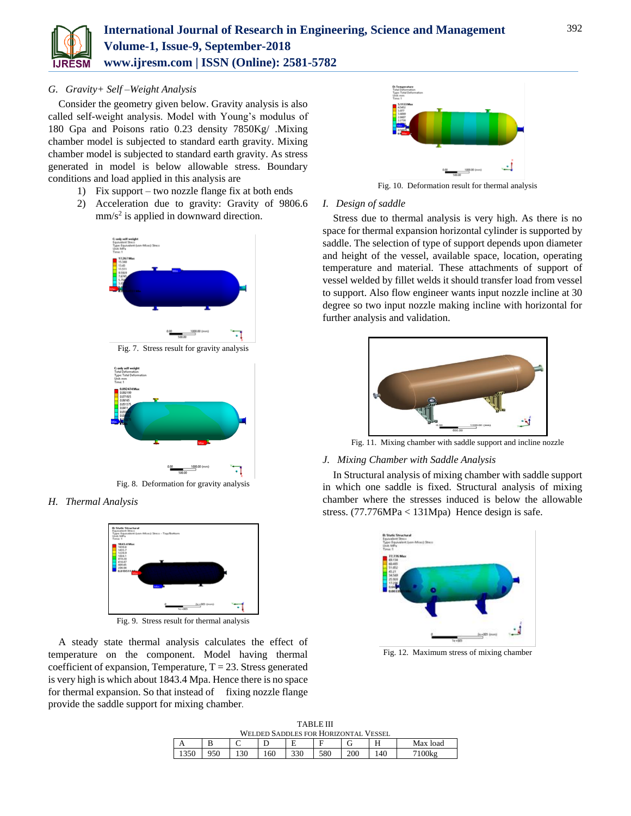

#### *G. Gravity+ Self –Weight Analysis*

Consider the geometry given below. Gravity analysis is also called self-weight analysis. Model with Young's modulus of 180 Gpa and Poisons ratio 0.23 density 7850Kg/ .Mixing chamber model is subjected to standard earth gravity. Mixing chamber model is subjected to standard earth gravity. As stress generated in model is below allowable stress. Boundary conditions and load applied in this analysis are

- 1) Fix support two nozzle flange fix at both ends
- 2) Acceleration due to gravity: Gravity of 9806.6  $mm/s<sup>2</sup>$  is applied in downward direction.



Fig. 7. Stress result for gravity analysis



Fig. 8. Deformation for gravity analysis

*H. Thermal Analysis*



Fig. 9. Stress result for thermal analysis

A steady state thermal analysis calculates the effect of temperature on the component. Model having thermal coefficient of expansion, Temperature,  $T = 23$ . Stress generated is very high is which about 1843.4 Mpa. Hence there is no space for thermal expansion. So that instead of fixing nozzle flange provide the saddle support for mixing chamber.



Fig. 10. Deformation result for thermal analysis

#### *I. Design of saddle*

Stress due to thermal analysis is very high. As there is no space for thermal expansion horizontal cylinder is supported by saddle. The selection of type of support depends upon diameter and height of the vessel, available space, location, operating temperature and material. These attachments of support of vessel welded by fillet welds it should transfer load from vessel to support. Also flow engineer wants input nozzle incline at 30 degree so two input nozzle making incline with horizontal for further analysis and validation.



Fig. 11. Mixing chamber with saddle support and incline nozzle

#### *J. Mixing Chamber with Saddle Analysis*

In Structural analysis of mixing chamber with saddle support in which one saddle is fixed. Structural analysis of mixing chamber where the stresses induced is below the allowable stress. (77.776MPa < 131Mpa) Hence design is safe.



Fig. 12. Maximum stress of mixing chamber

| <b>TABLE III</b>                            |     |      |    |     |     |     |    |             |
|---------------------------------------------|-----|------|----|-----|-----|-----|----|-------------|
| <b>WELDED SADDLES FOR HORIZONTAL VESSEL</b> |     |      |    |     |     |     |    |             |
|                                             |     |      |    |     | Е   |     |    | Max load    |
| 350                                         | 950 | l 30 | 60 | 330 | 580 | 200 | 40 | $7100$ $kg$ |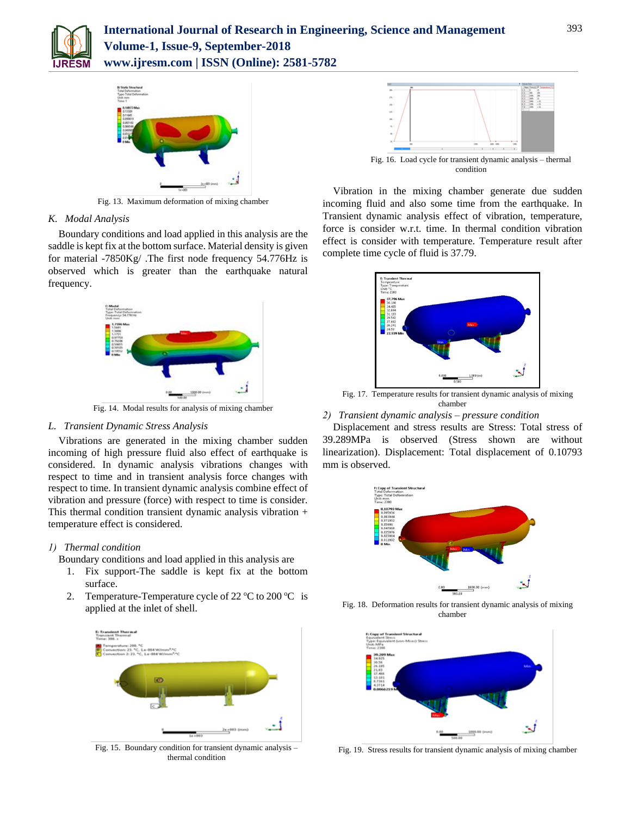

# **International Journal of Research in Engineering, Science and Management Volume-1, Issue-9, September-2018 www.ijresm.com | ISSN (Online): 2581-5782**



Fig. 13. Maximum deformation of mixing chamber

#### *K. Modal Analysis*

Boundary conditions and load applied in this analysis are the saddle is kept fix at the bottom surface. Material density is given for material -7850Kg/ .The first node frequency 54.776Hz is observed which is greater than the earthquake natural frequency.



Fig. 14. Modal results for analysis of mixing chamber

#### *L. Transient Dynamic Stress Analysis*

Vibrations are generated in the mixing chamber sudden incoming of high pressure fluid also effect of earthquake is considered. In dynamic analysis vibrations changes with respect to time and in transient analysis force changes with respect to time. In transient dynamic analysis combine effect of vibration and pressure (force) with respect to time is consider. This thermal condition transient dynamic analysis vibration + temperature effect is considered.

#### *1) Thermal condition*

Boundary conditions and load applied in this analysis are

- 1. Fix support-The saddle is kept fix at the bottom surface.
- 2. Temperature-Temperature cycle of 22  $\mathrm{^{\circ}C}$  to 200  $\mathrm{^{\circ}C}$  is applied at the inlet of shell.



Fig. 15. Boundary condition for transient dynamic analysis – thermal condition



condition

Vibration in the mixing chamber generate due sudden incoming fluid and also some time from the earthquake. In Transient dynamic analysis effect of vibration, temperature, force is consider w.r.t. time. In thermal condition vibration effect is consider with temperature. Temperature result after complete time cycle of fluid is 37.79.



Fig. 17. Temperature results for transient dynamic analysis of mixing chamber

#### *2) Transient dynamic analysis – pressure condition*

Displacement and stress results are Stress: Total stress of 39.289MPa is observed (Stress shown are without linearization). Displacement: Total displacement of 0.10793 mm is observed.



Fig. 18. Deformation results for transient dynamic analysis of mixing chamber



Fig. 19. Stress results for transient dynamic analysis of mixing chamber